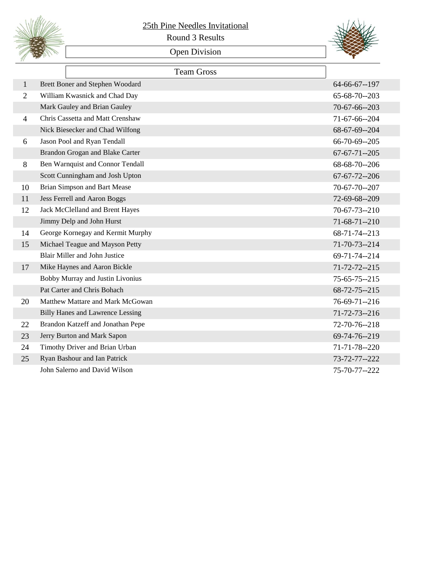

## 25th Pine Needles Invitational

Round 3 Results

## Open Division



|                | <b>Team Gross</b>                       |                      |
|----------------|-----------------------------------------|----------------------|
| 1              | Brett Boner and Stephen Woodard         | 64-66-67--197        |
| 2              | William Kwasnick and Chad Day           | 65-68-70--203        |
|                | Mark Gauley and Brian Gauley            | 70-67-66--203        |
| $\overline{4}$ | Chris Cassetta and Matt Crenshaw        | 71-67-66--204        |
|                | Nick Biesecker and Chad Wilfong         | 68-67-69--204        |
| 6              | Jason Pool and Ryan Tendall             | 66-70-69--205        |
|                | Brandon Grogan and Blake Carter         | $67 - 67 - 71 - 205$ |
| 8              | Ben Warnquist and Connor Tendall        | 68-68-70--206        |
|                | Scott Cunningham and Josh Upton         | $67 - 67 - 72 - 206$ |
| 10             | Brian Simpson and Bart Mease            | 70-67-70--207        |
| 11             | Jess Ferrell and Aaron Boggs            | 72-69-68--209        |
| 12             | Jack McClelland and Brent Hayes         | $70 - 67 - 73 - 210$ |
|                | Jimmy Delp and John Hurst               | $71-68-71-210$       |
| 14             | George Kornegay and Kermit Murphy       | 68-71-74--213        |
| 15             | Michael Teague and Mayson Petty         | $71 - 70 - 73 - 214$ |
|                | <b>Blair Miller and John Justice</b>    | 69-71-74--214        |
| 17             | Mike Haynes and Aaron Bickle            | $71 - 72 - 72 - 215$ |
|                | Bobby Murray and Justin Livonius        | $75 - 65 - 75 - 215$ |
|                | Pat Carter and Chris Bohach             | $68 - 72 - 75 - 215$ |
| 20             | Matthew Mattare and Mark McGowan        | $76 - 69 - 71 - 216$ |
|                | <b>Billy Hanes and Lawrence Lessing</b> | $71 - 72 - 73 - 216$ |
| 22             | Brandon Katzeff and Jonathan Pepe       | 72-70-76--218        |
| 23             | Jerry Burton and Mark Sapon             | 69-74-76--219        |
| 24             | Timothy Driver and Brian Urban          | 71-71-78--220        |
| 25             | Ryan Bashour and Ian Patrick            | 73-72-77--222        |
|                | John Salerno and David Wilson           | 75-70-77--222        |